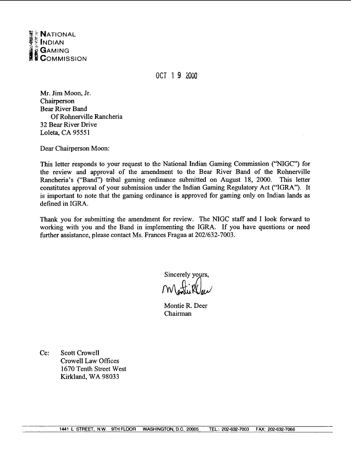

OCT 1 **9** 2000

Mr. Jim Moon, Jr. Chairperson Bear River Band Of Rohnerville Rancheria 32 Bear River Drive Loleta, CA 95551

Dear Chairperson Moon:

This letter responds to your request to the National Indian Gaming Commission ("NIGC") for the review and approval of the amendment to the Bear River Band of the Rohnerville Rancheria's ("Band") tribal gaming ordinance submitted on August 18, 2000. This letter constitutes approval of your submission under the Indian Gaming Regulatory Act ("IGRA"). It is important to note that the gaming ordinance is approved for gaming only on Indian lands as defined in IGRA.

Thank you for submitting the amendment for review. The NIGC staff and I look forward to working with you and the Band in implementing the IGRA. If you have questions or need further assistance, please contact Ms. Frances Fragua at 202/632-7003.

> Sincerely yours, Montieller

Montie R. Deer Chairman

Cc: Scott Crowell Crowell Law Offices 1670 Tenth Street West Kirkland, WA 98033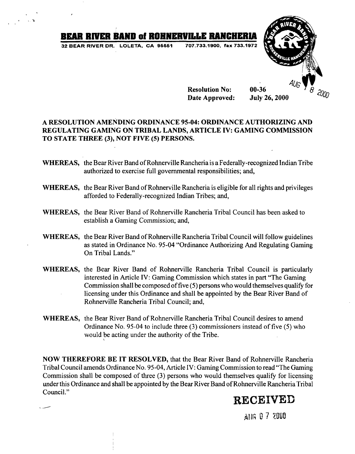# **BEAR RIVER BAND of ROHNERVILLE RANGHERIA**<br>32 BEAR RIVER DR., LOLETA, CA. 95551 707.733.1900, fax 733.1972

**32 BEAR RIVER DR. LOLETA, CA 95551** 



**Resolution No: Date Approved: July 26,2000** 

### **A RESOLUTION AMENDING ORDINANCE 95-04: ORDINANCE AUTHORIZING AND REGULATING GAMING ON TRIBAL LANDS, ARTICLE IV: GAMING COMMISSION TO STATE THREE (3), NOT FIVE (5) PERSONS.**

- **WHEREAS,** the Bear River Band of Rohnewille Rancheria is a Federally-recognized Indian Tribe authorized to exercise full governmental responsibilities; and,
- **WHEREAS,** the Bear River Band of Rohnewille Rancheria is eligible for all rights and privileges afforded to Federally-recognized Indian Tribes; and,
- **WHEREAS,** the Bear River Band of Rohnewille Rancheria Tribal Council has been asked to establish a Gaming Commission; and,
- **WHEREAS,** the Bear River Band of Rohnerville Rancheria Tribal Council will follow guidelines as stated in Ordinance No. 95-04 "Ordinance Authorizing And Regulating Gaming On Tribal Lands."
- **WHEREAS,** the Bear River Band of Rohnerville Rancheria Tribal Council is particularly interested in Article IV: Gaming Commission which states in part "The Gaming Commission shall be composed of five (5) persons who would themselves qualify for licensing under this Ordinance and shall be appointed by the Bear River Band of Rohnerville Rancheria Tribal Council; and,
- **WHEREAS,** the Bear River Band of Rohnewille Rancheria Tribal Council desires to amend Ordinance No. 95-04 to include three **(3)** commissioners instead of five (5) who would be acting under the authority of the Tribe.

**NOW THEREFORE BE IT RESOLVED,** that the Bear River Band of Rohnewille Rancheria Tribal Council amends Ordinance No. 95-04, Article IV: Gaming Commission to read "The Gaming Commission shall be composed of three **(3)** persons who would themselves qualify for licensing under this Ordinance and shall be appointed by the Bear River Band of Rohnerville Rancheria Tribal Council."

## **RECEIVED**

AHG 0 7 2000